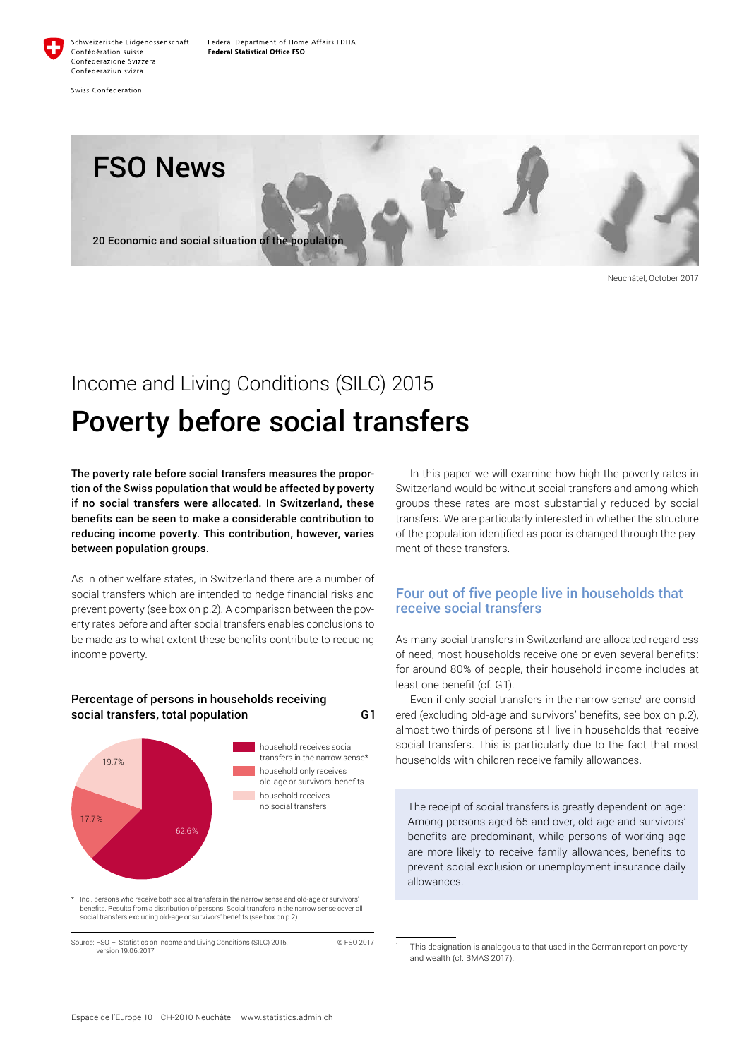

Swiss Confederation



Neuchâtel, October 2017

## Income and Living Conditions (SILC) 2015

# Poverty before social transfers

The poverty rate before social transfers measures the proportion of the Swiss population that would be affected by poverty if no social transfers were allocated. In Switzerland, these benefits can be seen to make a considerable contribution to reducing income poverty. This contribution, however, varies between population groups.

As in other welfare states, in Switzerland there are a number of social transfers which are intended to hedge financial risks and prevent poverty (see box on p.2). A comparison between the poverty rates before and after social transfers enables conclusions to be made as to what extent these benefits contribute to reducing income poverty.



## Percentage of persons in households receiving social transfers, total population G1

Incl. persons who receive both social transfers in the narrow sense and old-age or survivors benefits. Results from a distribution of persons. Social transfers in the narrow sense cover all social transfers excluding old-age or survivors' benefits (see box on p.2).

Source: FSO – Statistics on Income and Living Conditions (SILC) 2015, © FSO 2017 version 19.06.2017

In this paper we will examine how high the poverty rates in Switzerland would be without social transfers and among which groups these rates are most substantially reduced by social transfers. We are particularly interested in whether the structure of the population identified as poor is changed through the payment of these transfers.

## Four out of five people live in households that receive social transfers

As many social transfers in Switzerland are allocated regardless of need, most households receive one or even several benefits: for around 80% of people, their household income includes at least one benefit (cf. G1).

Even if only social transfers in the narrow sense<sup>1</sup> are considered (excluding old-age and survivors' benefits, see box on p.2), almost two thirds of persons still live in households that receive social transfers. This is particularly due to the fact that most households with children receive family allowances.

The receipt of social transfers is greatly dependent on age: Among persons aged 65 and over, old-age and survivors' benefits are predominant, while persons of working age are more likely to receive family allowances, benefits to prevent social exclusion or unemployment insurance daily allowances.

This designation is analogous to that used in the German report on poverty and wealth (cf. BMAS 2017).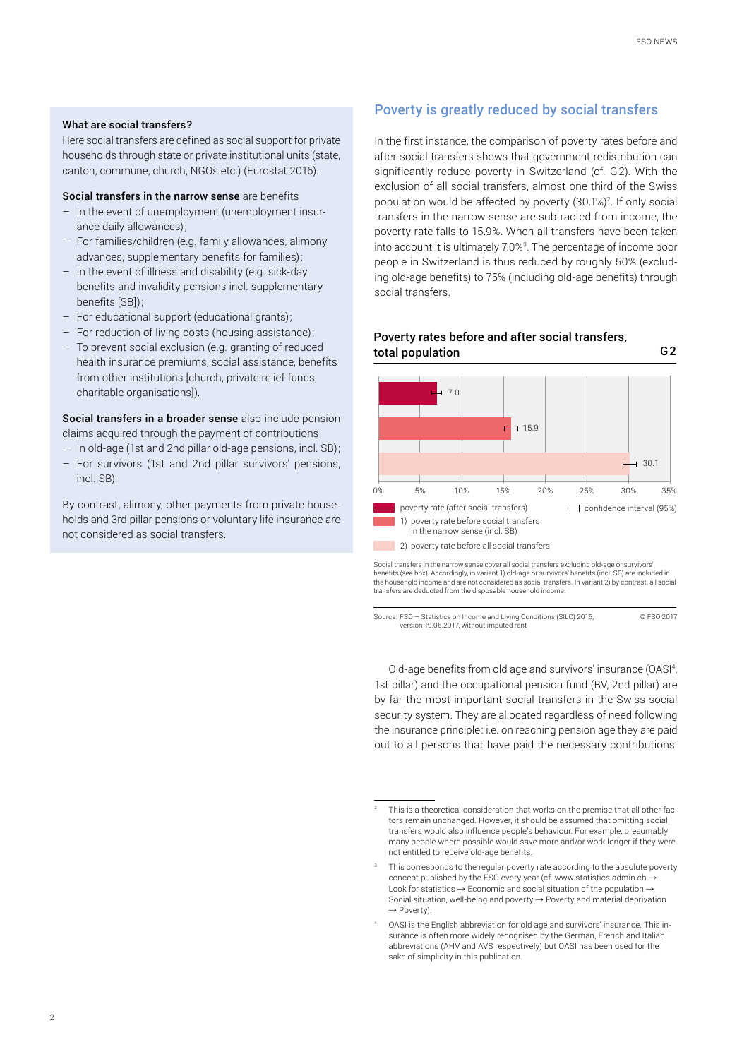#### What are social transfers?

Here social transfers are defined as social support for private households through state or private institutional units (state, canton, commune, church, NGOs etc.) (Eurostat 2016).

#### Social transfers in the narrow sense are benefits

- In the event of unemployment (unemployment insurance daily allowances);
- For families/children (e.g. family allowances, alimony advances, supplementary benefits for families);
- In the event of illness and disability (e.g. sick-day benefits and invalidity pensions incl. supplementary benefits [SB]);
- For educational support (educational grants);
- For reduction of living costs (housing assistance);
- To prevent social exclusion (e.g. granting of reduced health insurance premiums, social assistance, benefits from other institutions [church, private relief funds, charitable organisations]).

Social transfers in a broader sense also include pension claims acquired through the payment of contributions

- In old-age (1st and 2nd pillar old-age pensions, incl. SB);
- For survivors (1st and 2nd pillar survivors' pensions, incl. SB).

By contrast, alimony, other payments from private households and 3rd pillar pensions or voluntary life insurance are not considered as social transfers.

## Poverty is greatly reduced by social transfers

In the first instance, the comparison of poverty rates before and after social transfers shows that government redistribution can significantly reduce poverty in Switzerland (cf. G2). With the exclusion of all social transfers, almost one third of the Swiss population would be affected by poverty (30.1%)<sup>2</sup>. If only social transfers in the narrow sense are subtracted from income, the poverty rate falls to 15.9%. When all transfers have been taken into account it is ultimately 7.0%<sup>3</sup>. The percentage of income poor people in Switzerland is thus reduced by roughly 50% (excluding old-age benefits) to 75% (including old-age benefits) through social transfers.



total population G2

Poverty rates before and after social transfers,

Social transfers in the narrow sense cover all social transfers excluding old-age or survivors' benefits (see box). Accordingly, in variant 1) old-age or survivors' benefits (incl. SB) are included in<br>the household income and are not considered as social transfers. In variant 2) by contrast, all social<br>transfers are

Source: FSO – Statistics on Income and Living Conditions (SILC) 2015, © FSO 2017 version 19.06.2017, without imputed rent

Old-age benefits from old age and survivors' insurance (OASI<sup>4</sup>, 1st pillar) and the occupational pension fund (BV, 2nd pillar) are by far the most important social transfers in the Swiss social security system. They are allocated regardless of need following the insurance principle: i.e. on reaching pension age they are paid out to all persons that have paid the necessary contributions.

<sup>2</sup> This is a theoretical consideration that works on the premise that all other factors remain unchanged. However, it should be assumed that omitting social transfers would also influence people's behaviour. For example, presumably many people where possible would save more and/or work longer if they were not entitled to receive old-age benefits.

This corresponds to the regular poverty rate according to the absolute poverty concept published by the FSO every year (cf. [www.statistics.admin.ch](https://www.bfs.admin.ch/bfs/de/home/statistiken/wirtschaftliche-soziale-situation-bevoelkerung/soziale-situation-wohlbefinden-und-armut/armut-und-materielle-entbehrungen.html) -Look for statistics  $\rightarrow$  Economic and social situation of the population  $\rightarrow$ Social situation, well-being and poverty  $\rightarrow$  Poverty and material deprivation  $\rightarrow$  Poverty)

<sup>4</sup> OASI is the English abbreviation for old age and survivors' insurance. This insurance is often more widely recognised by the German, French and Italian abbreviations (AHV and AVS respectively) but OASI has been used for the sake of simplicity in this publication.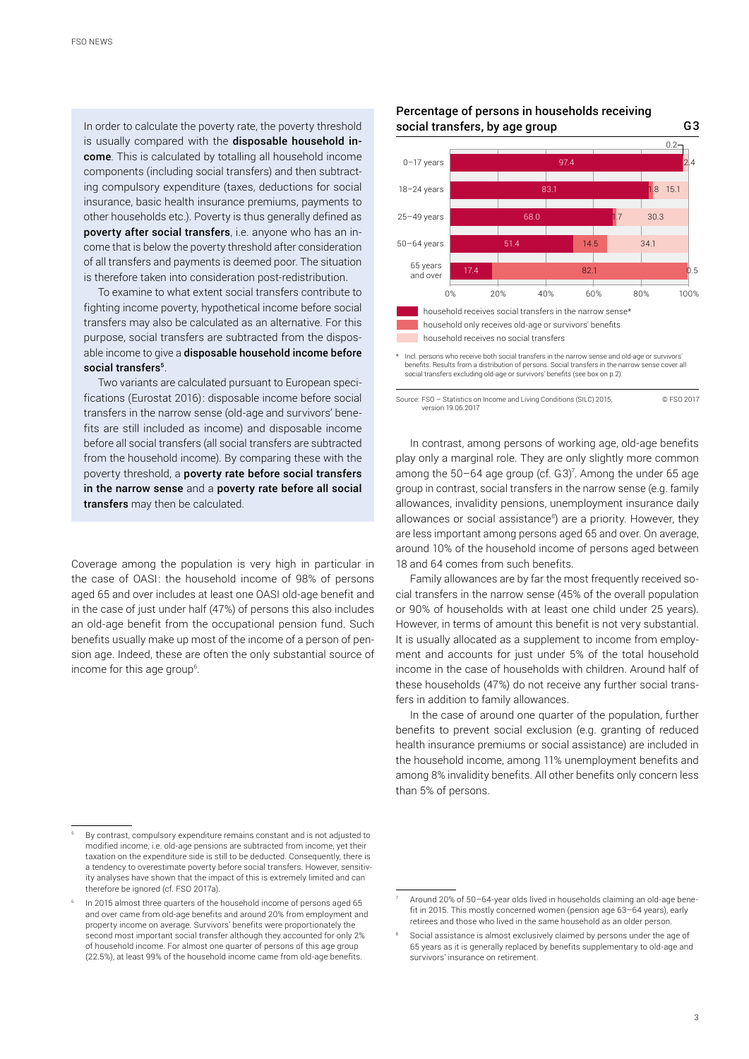In order to calculate the poverty rate, the poverty threshold is usually compared with the disposable household income. This is calculated by totalling all household income components (including social transfers) and then subtracting compulsory expenditure (taxes, deductions for social insurance, basic health insurance premiums, payments to other households etc.). Poverty is thus generally defined as poverty after social transfers, i.e. anyone who has an income that is below the poverty threshold after consideration of all transfers and payments is deemed poor. The situation is therefore taken into consideration post-redistribution.

To examine to what extent social transfers contribute to fighting income poverty, hypothetical income before social transfers may also be calculated as an alternative. For this purpose, social transfers are subtracted from the disposable income to give a disposable household income before social transfers<sup>5</sup>.

Two variants are calculated pursuant to European specifications (Eurostat 2016): disposable income before social transfers in the narrow sense (old-age and survivors' benefits are still included as income) and disposable income before all social transfers (all social transfers are subtracted from the household income). By comparing these with the poverty threshold, a poverty rate before social transfers in the narrow sense and a poverty rate before all social transfers may then be calculated.

Coverage among the population is very high in particular in the case of OASI: the household income of 98% of persons aged 65 and over includes at least one OASI old-age benefit and in the case of just under half (47%) of persons this also includes an old-age benefit from the occupational pension fund. Such benefits usually make up most of the income of a person of pension age. Indeed, these are often the only substantial source of income for this age group<sup>6</sup>.

### Percentage of persons in households receiving social transfers, by age group G3



Incl. persons who receive both social transfers in the narrow sense and old-age or survivors benefits. Results from a distribution of persons. Social transfers in the narrow sense cover all social transfers excluding old-age or survivors' benefits (see box on p.2).

Source: FSO – Statistics on Income and Living Conditions (SILC) 2015, © FSO 2017 version 19.06.2017

In contrast, among persons of working age, old-age benefits play only a marginal role. They are only slightly more common among the  $50-64$  age group (cf. G3)<sup>7</sup>. Among the under 65 age group in contrast, social transfers in the narrow sense (e.g. family allowances, invalidity pensions, unemployment insurance daily allowances or social assistance<sup>8</sup>) are a priority. However, they are less important among persons aged 65 and over. On average, around 10% of the household income of persons aged between 18 and 64 comes from such benefits.

Family allowances are by far the most frequently received social transfers in the narrow sense (45% of the overall population or 90% of households with at least one child under 25 years). However, in terms of amount this benefit is not very substantial. It is usually allocated as a supplement to income from employment and accounts for just under 5% of the total household income in the case of households with children. Around half of these households (47%) do not receive any further social transfers in addition to family allowances.

In the case of around one quarter of the population, further benefits to prevent social exclusion (e.g. granting of reduced health insurance premiums or social assistance) are included in the household income, among 11% unemployment benefits and among 8% invalidity benefits. All other benefits only concern less than 5% of persons.

<sup>5</sup> By contrast, compulsory expenditure remains constant and is not adjusted to modified income, i.e. old-age pensions are subtracted from income, yet their taxation on the expenditure side is still to be deducted. Consequently, there is a tendency to overestimate poverty before social transfers. However, sensitivity analyses have shown that the impact of this is extremely limited and can therefore be ignored (cf. FSO 2017a).

<sup>6</sup> In 2015 almost three quarters of the household income of persons aged 65 and over came from old-age benefits and around 20% from employment and property income on average. Survivors' benefits were proportionately the second most important social transfer although they accounted for only 2% of household income. For almost one quarter of persons of this age group (22.5%), at least 99% of the household income came from old-age benefits.

Around 20% of 50-64-year olds lived in households claiming an old-age benefit in 2015. This mostly concerned women (pension age 63–64 years), early retirees and those who lived in the same household as an older person.

<sup>8</sup> Social assistance is almost exclusively claimed by persons under the age of 65 years as it is generally replaced by benefits supplementary to old-age and survivors' insurance on retirement.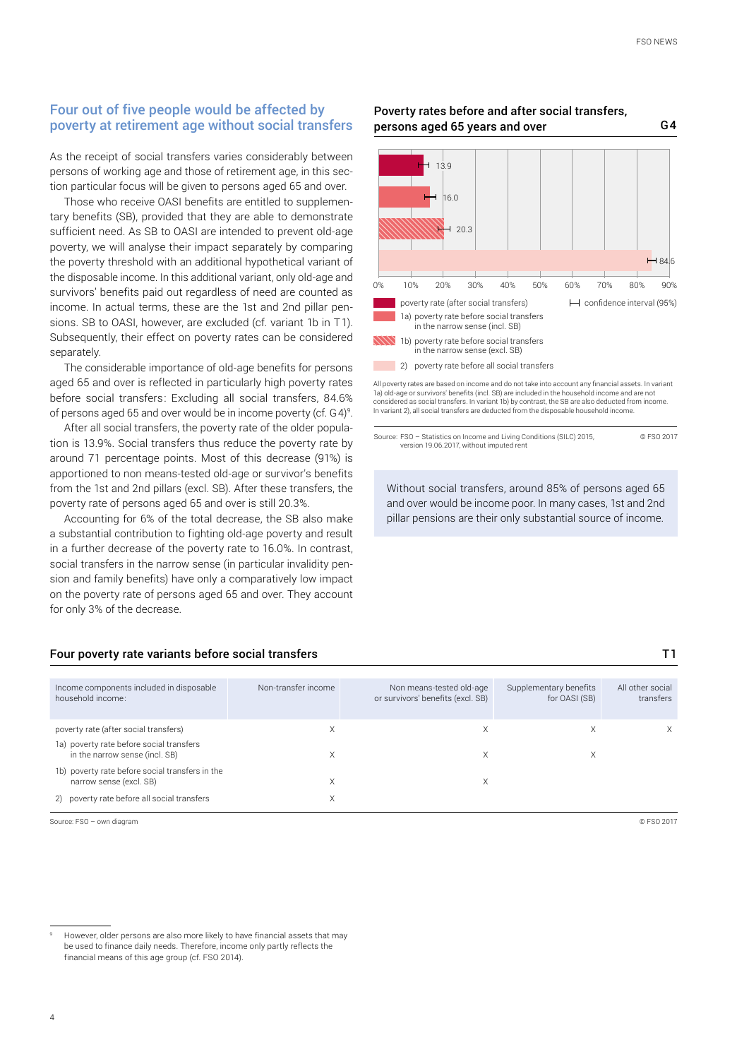## Four out of five people would be affected by poverty at retirement age without social transfers

As the receipt of social transfers varies considerably between persons of working age and those of retirement age, in this section particular focus will be given to persons aged 65 and over.

Those who receive OASI benefits are entitled to supplementary benefits (SB), provided that they are able to demonstrate sufficient need. As SB to OASI are intended to prevent old-age poverty, we will analyse their impact separately by comparing the poverty threshold with an additional hypothetical variant of the disposable income. In this additional variant, only old-age and survivors' benefits paid out regardless of need are counted as income. In actual terms, these are the 1st and 2nd pillar pensions. SB to OASI, however, are excluded (cf. variant 1b in T1). Subsequently, their effect on poverty rates can be considered separately.

The considerable importance of old-age benefits for persons aged 65 and over is reflected in particularly high poverty rates before social transfers: Excluding all social transfers, 84.6% of persons aged 65 and over would be in income poverty (cf. G4) 9 .

After all social transfers, the poverty rate of the older population is 13.9%. Social transfers thus reduce the poverty rate by around 71 percentage points. Most of this decrease (91%) is apportioned to non means-tested old-age or survivor's benefits from the 1st and 2nd pillars (excl. SB). After these transfers, the poverty rate of persons aged 65 and over is still 20.3%.

Accounting for 6% of the total decrease, the SB also make a substantial contribution to fighting old-age poverty and result in a further decrease of the poverty rate to 16.0%. In contrast, social transfers in the narrow sense (in particular invalidity pension and family benefits) have only a comparatively low impact on the poverty rate of persons aged 65 and over. They account for only 3% of the decrease.

#### Four poverty rate variants before social transfers T1

| Income components included in disposable<br>household income:              | Non-transfer income | Non means-tested old-age<br>or survivors' benefits (excl. SB) | Supplementary benefits<br>for OASI (SB) | All other social<br>transfers |
|----------------------------------------------------------------------------|---------------------|---------------------------------------------------------------|-----------------------------------------|-------------------------------|
| poverty rate (after social transfers)                                      |                     | Х                                                             |                                         | X                             |
| 1a) poverty rate before social transfers<br>in the narrow sense (incl. SB) |                     | Χ                                                             |                                         |                               |
| 1b) poverty rate before social transfers in the<br>narrow sense (excl. SB) |                     | Χ                                                             |                                         |                               |
| 2) poverty rate before all social transfers                                |                     |                                                               |                                         |                               |
|                                                                            |                     |                                                               |                                         |                               |

Source: FSO – own diagram © FSO 2017

However, older persons are also more likely to have financial assets that may be used to finance daily needs. Therefore, income only partly reflects the financial means of this age group (cf. FSO 2014).



Poverty rates before and after social transfers,

persons aged 65 years and over G4

All poverty rates are based on income and do not take into account any financial assets. In variant 1a) old-age or survivors' benefits (incl. SB) are included in the household income and are not considered as social transfers. In variant 1b) by contrast, the SB are also deducted from income In variant 2), all social transfers are deducted from the disposable household income.

Source: FSO – Statistics on Income and Living Conditions (SILC) 2015, © FSO 2017 version 19.06.2017, without imputed rent

Without social transfers, around 85% of persons aged 65 and over would be income poor. In many cases, 1st and 2nd pillar pensions are their only substantial source of income.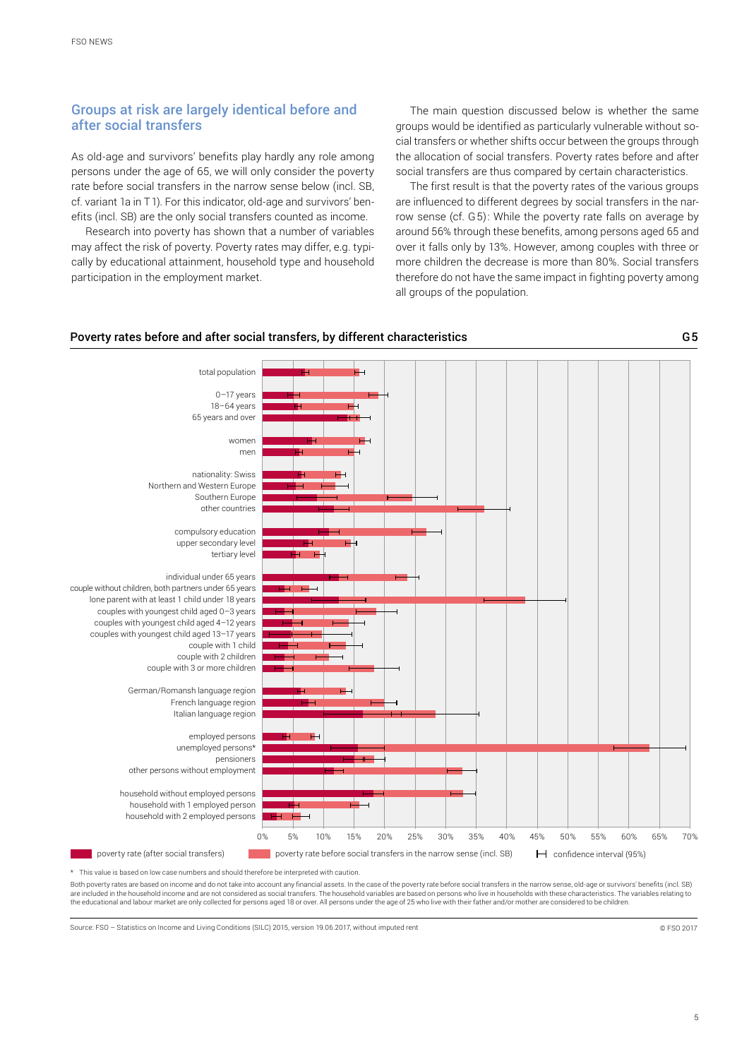## Groups at risk are largely identical before and after social transfers

As old-age and survivors' benefits play hardly any role among persons under the age of 65, we will only consider the poverty rate before social transfers in the narrow sense below (incl. SB, cf. variant 1a in T1). For this indicator, old-age and survivors' benefits (incl. SB) are the only social transfers counted as income.

Research into poverty has shown that a number of variables may affect the risk of poverty. Poverty rates may differ, e.g. typically by educational attainment, household type and household participation in the employment market.

The main question discussed below is whether the same groups would be identified as particularly vulnerable without social transfers or whether shifts occur between the groups through the allocation of social transfers. Poverty rates before and after social transfers are thus compared by certain characteristics.

The first result is that the poverty rates of the various groups are influenced to different degrees by social transfers in the narrow sense (cf. G5): While the poverty rate falls on average by around 56% through these benefits, among persons aged 65 and over it falls only by 13%. However, among couples with three or more children the decrease is more than 80%. Social transfers therefore do not have the same impact in fighting poverty among all groups of the population.





\* This value is based on low case numbers and should therefore be interpreted with caution.

Both poverty rates are based on income and do not take into account any financial assets. In the case of the poverty rate before social transfers in the narrow sense, old-age or survivors' benefits (incl. SB) are included in the household income and are not considered as social transfers. The household variables are based on persons who live in households with these characteristics. The variables relating to the educational and labour market are only collected for persons aged 18 or over. All persons under the age of 25 who live with their father and/or mother are considered to be children.

Source: FSO – Statistics on Income and Living Conditions (SILC) 2015, version 19.06.2017, without imputed rent © FSO 2017

G5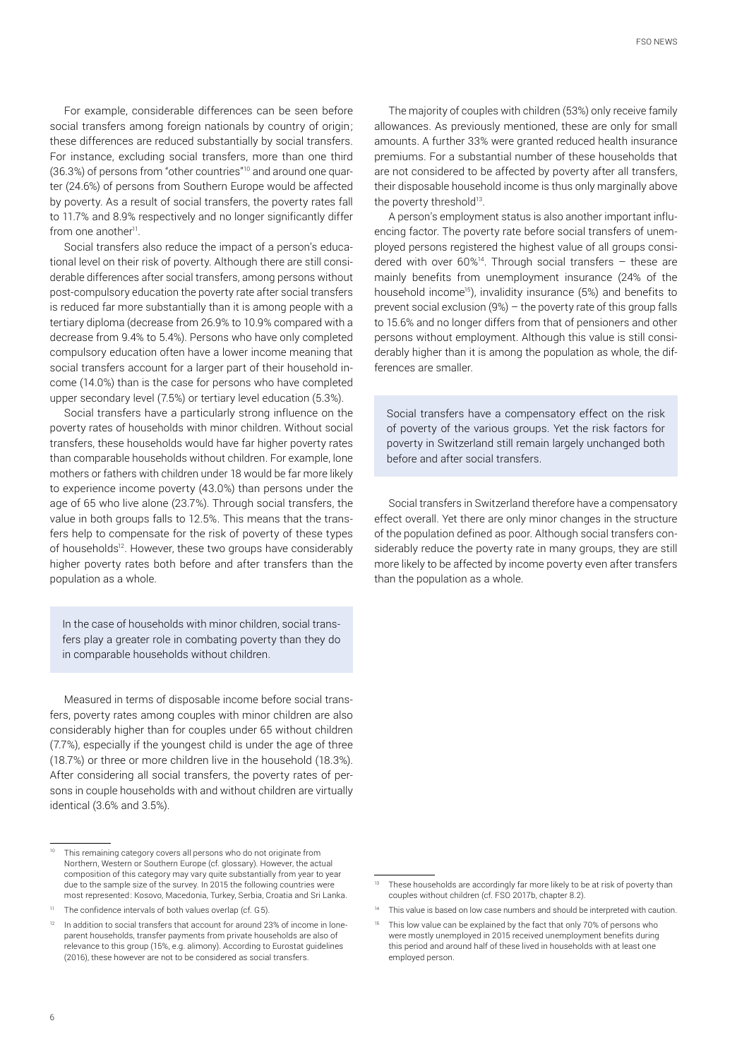For example, considerable differences can be seen before social transfers among foreign nationals by country of origin; these differences are reduced substantially by social transfers. For instance, excluding social transfers, more than one third (36.3%) of persons from "other countries"10 and around one quarter (24.6%) of persons from Southern Europe would be affected by poverty. As a result of social transfers, the poverty rates fall to 11.7% and 8.9% respectively and no longer significantly differ from one another<sup>11</sup>.

Social transfers also reduce the impact of a person's educational level on their risk of poverty. Although there are still considerable differences after social transfers, among persons without post-compulsory education the poverty rate after social transfers is reduced far more substantially than it is among people with a tertiary diploma (decrease from 26.9% to 10.9% compared with a decrease from 9.4% to 5.4%). Persons who have only completed compulsory education often have a lower income meaning that social transfers account for a larger part of their household income (14.0%) than is the case for persons who have completed upper secondary level (7.5%) or tertiary level education (5.3%).

Social transfers have a particularly strong influence on the poverty rates of households with minor children. Without social transfers, these households would have far higher poverty rates than comparable households without children. For example, lone mothers or fathers with children under 18 would be far more likely to experience income poverty (43.0%) than persons under the age of 65 who live alone (23.7%). Through social transfers, the value in both groups falls to 12.5%. This means that the transfers help to compensate for the risk of poverty of these types of households<sup>12</sup>. However, these two groups have considerably higher poverty rates both before and after transfers than the population as a whole.

In the case of households with minor children, social transfers play a greater role in combating poverty than they do in comparable households without children.

Measured in terms of disposable income before social transfers, poverty rates among couples with minor children are also considerably higher than for couples under 65 without children (7.7%), especially if the youngest child is under the age of three (18.7%) or three or more children live in the household (18.3%). After considering all social transfers, the poverty rates of persons in couple households with and without children are virtually identical (3.6% and 3.5%).

The majority of couples with children (53%) only receive family allowances. As previously mentioned, these are only for small amounts. A further 33% were granted reduced health insurance premiums. For a substantial number of these households that are not considered to be affected by poverty after all transfers, their disposable household income is thus only marginally above the poverty threshold<sup>13</sup>.

A person's employment status is also another important influencing factor. The poverty rate before social transfers of unemployed persons registered the highest value of all groups considered with over  $60\%$ <sup>14</sup>. Through social transfers - these are mainly benefits from unemployment insurance (24% of the household income<sup>15</sup>), invalidity insurance (5%) and benefits to prevent social exclusion (9%) – the poverty rate of this group falls to 15.6% and no longer differs from that of pensioners and other persons without employment. Although this value is still considerably higher than it is among the population as whole, the differences are smaller.

Social transfers have a compensatory effect on the risk of poverty of the various groups. Yet the risk factors for poverty in Switzerland still remain largely unchanged both before and after social transfers.

Social transfers in Switzerland therefore have a compensatory effect overall. Yet there are only minor changes in the structure of the population defined as poor. Although social transfers considerably reduce the poverty rate in many groups, they are still more likely to be affected by income poverty even after transfers than the population as a whole.

This remaining category covers all persons who do not originate from Northern, Western or Southern Europe (cf. glossary). However, the actual composition of this category may vary quite substantially from year to year due to the sample size of the survey. In 2015 the following countries were most represented: Kosovo, Macedonia, Turkey, Serbia, Croatia and Sri Lanka.

The confidence intervals of both values overlap (cf. G5).

<sup>&</sup>lt;sup>12</sup> In addition to social transfers that account for around 23% of income in loneparent households, transfer payments from private households are also of relevance to this group (15%, e.g. alimony). According to Eurostat guidelines (2016), these however are not to be considered as social transfers.

These households are accordingly far more likely to be at risk of poverty than couples without children (cf. FSO 2017b, chapter 8.2).

This value is based on low case numbers and should be interpreted with caution.

This low value can be explained by the fact that only 70% of persons who were mostly unemployed in 2015 received unemployment benefits during this period and around half of these lived in households with at least one employed person.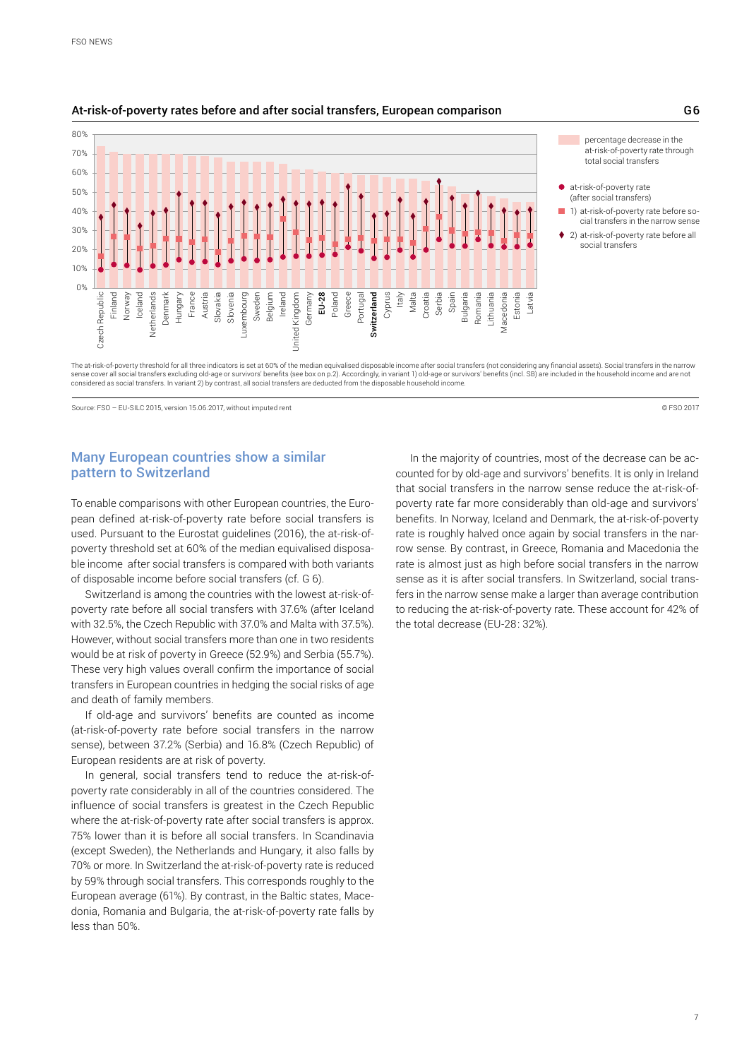

#### At-risk-of-poverty rates before and after social transfers, European comparison G6

The at-risk-of-poverty threshold for all three indicators is set at 60% of the median equivalised disposable income after social transfers (not considering any financial assets). Social transfers in the narrow sense cover all social transfers excluding old-age or survivors' benefits (see box on p.2). Accordingly, in variant 1) old-age or survivors' benefits (incl. SB) are included in the household income and are not considered as social transfers. In variant 2) by contrast, all social transfers are deducted from the disposable household income.

Source: FSO – FU-SILC 2015, version 15.06.2017, without imputed rent © FSO 2017

## Many European countries show a similar pattern to Switzerland

To enable comparisons with other European countries, the European defined at-risk-of-poverty rate before social transfers is used. Pursuant to the Eurostat guidelines (2016), the at-risk-ofpoverty threshold set at 60% of the median equivalised disposable income after social transfers is compared with both variants of disposable income before social transfers (cf. G 6).

Switzerland is among the countries with the lowest at-risk-ofpoverty rate before all social transfers with 37.6% (after Iceland with 32.5%, the Czech Republic with 37.0% and Malta with 37.5%). However, without social transfers more than one in two residents would be at risk of poverty in Greece (52.9%) and Serbia (55.7%). These very high values overall confirm the importance of social transfers in European countries in hedging the social risks of age and death of family members.

If old-age and survivors' benefits are counted as income (at-risk-of-poverty rate before social transfers in the narrow sense), between 37.2% (Serbia) and 16.8% (Czech Republic) of European residents are at risk of poverty.

In general, social transfers tend to reduce the at-risk-ofpoverty rate considerably in all of the countries considered. The influence of social transfers is greatest in the Czech Republic where the at-risk-of-poverty rate after social transfers is approx. 75% lower than it is before all social transfers. In Scandinavia (except Sweden), the Netherlands and Hungary, it also falls by 70% or more. In Switzerland the at-risk-of-poverty rate is reduced by 59% through social transfers. This corresponds roughly to the European average (61%). By contrast, in the Baltic states, Macedonia, Romania and Bulgaria, the at-risk-of-poverty rate falls by less than 50%.

In the majority of countries, most of the decrease can be accounted for by old-age and survivors' benefits. It is only in Ireland that social transfers in the narrow sense reduce the at-risk-ofpoverty rate far more considerably than old-age and survivors' benefits. In Norway, Iceland and Denmark, the at-risk-of-poverty rate is roughly halved once again by social transfers in the narrow sense. By contrast, in Greece, Romania and Macedonia the rate is almost just as high before social transfers in the narrow sense as it is after social transfers. In Switzerland, social transfers in the narrow sense make a larger than average contribution to reducing the at-risk-of-poverty rate. These account for 42% of the total decrease (EU-28: 32%).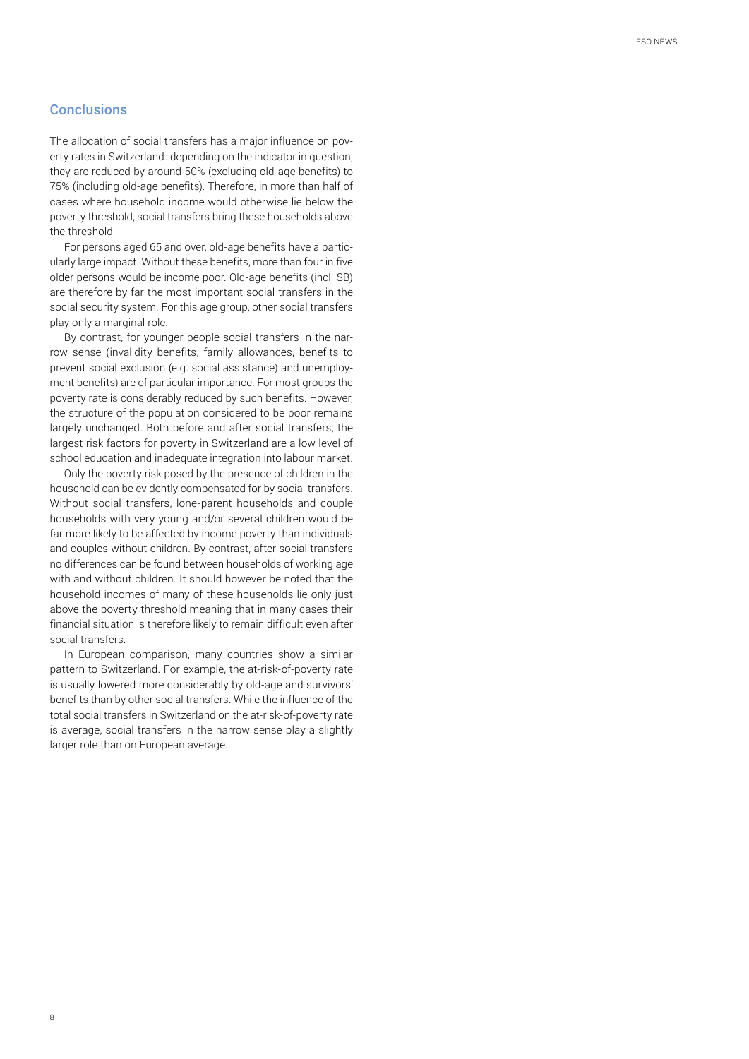## **Conclusions**

The allocation of social transfers has a major influence on poverty rates in Switzerland: depending on the indicator in question, they are reduced by around 50% (excluding old-age benefits) to 75% (including old-age benefits). Therefore, in more than half of cases where household income would otherwise lie below the poverty threshold, social transfers bring these households above the threshold.

For persons aged 65 and over, old-age benefits have a particularly large impact. Without these benefits, more than four in five older persons would be income poor. Old-age benefits (incl. SB) are therefore by far the most important social transfers in the social security system. For this age group, other social transfers play only a marginal role.

By contrast, for younger people social transfers in the narrow sense (invalidity benefits, family allowances, benefits to prevent social exclusion (e.g. social assistance) and unemployment benefits) are of particular importance. For most groups the poverty rate is considerably reduced by such benefits. However, the structure of the population considered to be poor remains largely unchanged. Both before and after social transfers, the largest risk factors for poverty in Switzerland are a low level of school education and inadequate integration into labour market.

Only the poverty risk posed by the presence of children in the household can be evidently compensated for by social transfers. Without social transfers, lone-parent households and couple households with very young and/or several children would be far more likely to be affected by income poverty than individuals and couples without children. By contrast, after social transfers no differences can be found between households of working age with and without children. It should however be noted that the household incomes of many of these households lie only just above the poverty threshold meaning that in many cases their financial situation is therefore likely to remain difficult even after social transfers.

In European comparison, many countries show a similar pattern to Switzerland. For example, the at-risk-of-poverty rate is usually lowered more considerably by old-age and survivors' benefits than by other social transfers. While the influence of the total social transfers in Switzerland on the at-risk-of-poverty rate is average, social transfers in the narrow sense play a slightly larger role than on European average.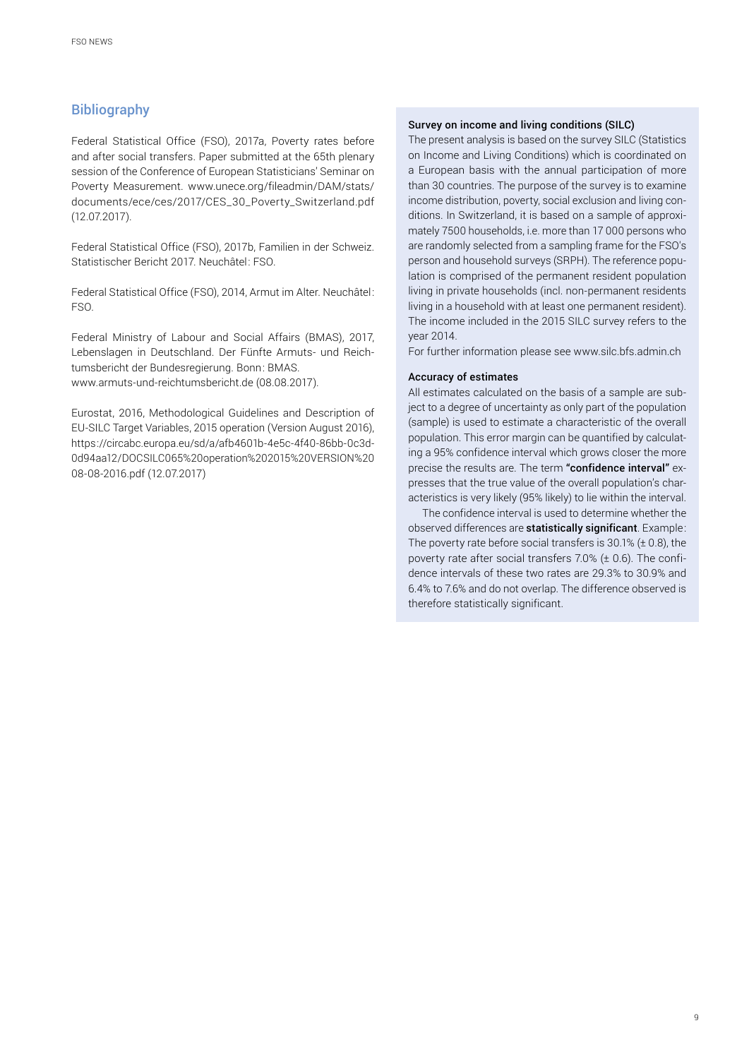## **Bibliography**

Federal Statistical Office (FSO), 2017a, Poverty rates before and after social transfers. Paper submitted at the 65th plenary session of the Conference of European Statisticians' Seminar on Poverty Measurement. [www.unece.org/fileadmin/DAM/stats/](https://www.unece.org/fileadmin/DAM/stats/documents/ece/ces/2017/CES_30_Poverty_Switzerland.pdf) [documents/ece/ces/2017/CES\\_30\\_Poverty\\_Switzerland.pdf](https://www.unece.org/fileadmin/DAM/stats/documents/ece/ces/2017/CES_30_Poverty_Switzerland.pdf) (12.07.2017).

Federal Statistical Office (FSO), 2017b, Familien in der Schweiz. Statistischer Bericht 2017. Neuchâtel: FSO.

Federal Statistical Office (FSO), 2014, Armut im Alter. Neuchâtel: FSO.

Federal Ministry of Labour and Social Affairs (BMAS), 2017, Lebenslagen in Deutschland. Der Fünfte Armuts- und Reichtumsbericht der Bundesregierung. Bonn: BMAS. www.armuts-und-reichtumsbericht.de (08.08.2017).

Eurostat, 2016, Methodological Guidelines and Description of EU-SILC Target Variables, 2015 operation (Version August 2016), [https://circabc.europa.eu/sd/a/afb4601b-4e5c-4f40-86bb-0c3d-](https://circabc.europa.eu/sd/a/afb4601b-4e5c-4f40-86bb-0c3d0d94aa12/DOCSILC065%20operation%202015%20VERSION%2008-08-2016.pdf [12.07.2017])[0d94aa12/DOCSILC065%20operation%202015%20VERSION%20](https://circabc.europa.eu/sd/a/afb4601b-4e5c-4f40-86bb-0c3d0d94aa12/DOCSILC065%20operation%202015%20VERSION%2008-08-2016.pdf [12.07.2017]) [08-08-2016.pdf \(12.07.2017\)](https://circabc.europa.eu/sd/a/afb4601b-4e5c-4f40-86bb-0c3d0d94aa12/DOCSILC065%20operation%202015%20VERSION%2008-08-2016.pdf [12.07.2017])

#### Survey on income and living conditions (SILC)

The present analysis is based on the survey SILC (Statistics on Income and Living Conditions) which is coordinated on a European basis with the annual participation of more than 30 countries. The purpose of the survey is to examine income distribution, poverty, social exclusion and living conditions. In Switzerland, it is based on a sample of approximately 7500 households, i.e. more than 17 000 persons who are randomly selected from a sampling frame for the FSO's person and household surveys (SRPH). The reference population is comprised of the permanent resident population living in private households (incl. non-permanent residents living in a household with at least one permanent resident). The income included in the 2015 SILC survey refers to the year 2014.

For further information please see <www.silc.bfs.admin.ch>

#### Accuracy of estimates

All estimates calculated on the basis of a sample are subject to a degree of uncertainty as only part of the population (sample) is used to estimate a characteristic of the overall population. This error margin can be quantified by calculating a 95% confidence interval which grows closer the more precise the results are. The term "confidence interval" expresses that the true value of the overall population's characteristics is very likely (95% likely) to lie within the interval.

The confidence interval is used to determine whether the observed differences are statistically significant. Example: The poverty rate before social transfers is  $30.1\%$  ( $\pm$  0.8), the poverty rate after social transfers 7.0% (± 0.6). The confidence intervals of these two rates are 29.3% to 30.9% and 6.4% to 7.6% and do not overlap. The difference observed is therefore statistically significant.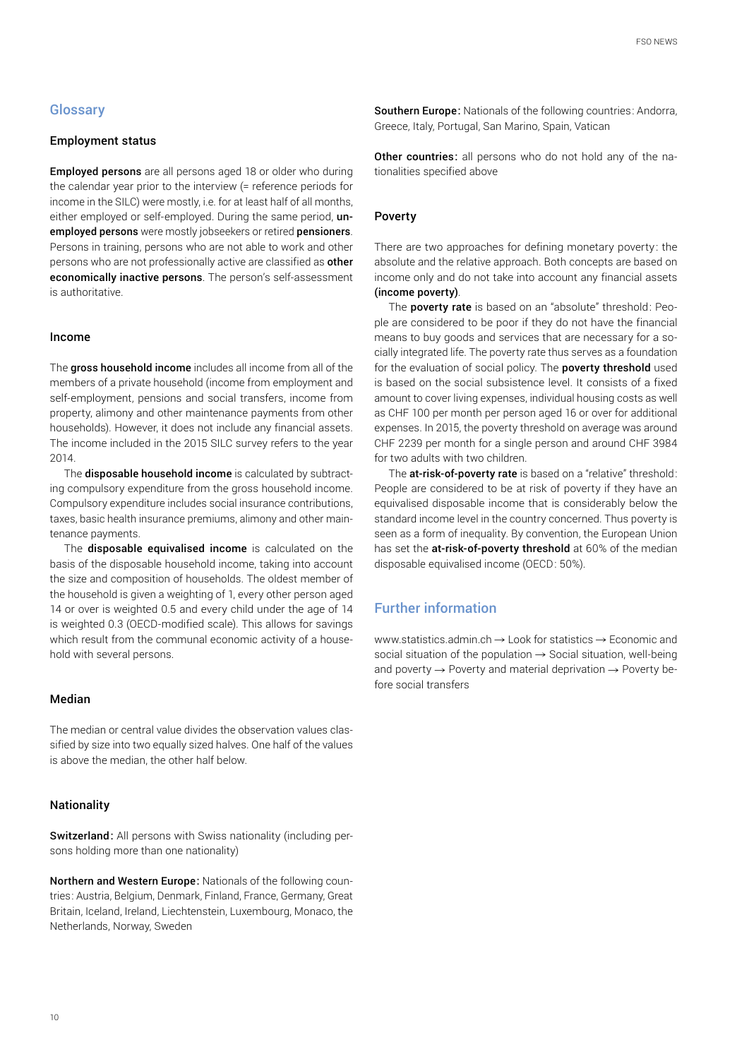## **Glossary**

#### Employment status

Employed persons are all persons aged 18 or older who during the calendar year prior to the interview (= reference periods for income in the SILC) were mostly, i.e. for at least half of all months, either employed or self-employed. During the same period, unemployed persons were mostly jobseekers or retired pensioners. Persons in training, persons who are not able to work and other persons who are not professionally active are classified as other economically inactive persons. The person's self-assessment is authoritative.

#### Income

The gross household income includes all income from all of the members of a private household (income from employment and self-employment, pensions and social transfers, income from property, alimony and other maintenance payments from other households). However, it does not include any financial assets. The income included in the 2015 SILC survey refers to the year 2014.

The **disposable household income** is calculated by subtracting compulsory expenditure from the gross household income. Compulsory expenditure includes social insurance contributions, taxes, basic health insurance premiums, alimony and other maintenance payments.

The disposable equivalised income is calculated on the basis of the disposable household income, taking into account the size and composition of households. The oldest member of the household is given a weighting of 1, every other person aged 14 or over is weighted 0.5 and every child under the age of 14 is weighted 0.3 (OECD-modified scale). This allows for savings which result from the communal economic activity of a household with several persons.

#### Median

The median or central value divides the observation values classified by size into two equally sized halves. One half of the values is above the median, the other half below.

#### Nationality

Switzerland: All persons with Swiss nationality (including persons holding more than one nationality)

Northern and Western Europe: Nationals of the following countries: Austria, Belgium, Denmark, Finland, France, Germany, Great Britain, Iceland, Ireland, Liechtenstein, Luxembourg, Monaco, the Netherlands, Norway, Sweden

Southern Europe: Nationals of the following countries: Andorra, Greece, Italy, Portugal, San Marino, Spain, Vatican

Other countries: all persons who do not hold any of the nationalities specified above

#### Poverty

There are two approaches for defining monetary poverty : the absolute and the relative approach. Both concepts are based on income only and do not take into account any financial assets (income poverty).

The **poverty rate** is based on an "absolute" threshold: People are considered to be poor if they do not have the financial means to buy goods and services that are necessary for a socially integrated life. The poverty rate thus serves as a foundation for the evaluation of social policy. The **poverty threshold** used is based on the social subsistence level. It consists of a fixed amount to cover living expenses, individual housing costs as well as CHF 100 per month per person aged 16 or over for additional expenses. In 2015, the poverty threshold on average was around CHF 2239 per month for a single person and around CHF 3984 for two adults with two children.

The at-risk-of-poverty rate is based on a "relative" threshold: People are considered to be at risk of poverty if they have an equivalised disposable income that is considerably below the standard income level in the country concerned. Thus poverty is seen as a form of inequality. By convention, the European Union has set the at-risk-of-poverty threshold at 60% of the median disposable equivalised income (OECD: 50%).

## Further information

[www.statistics.admin.ch](https://www.bfs.admin.ch/bfs/de/home/statistiken/wirtschaftliche-soziale-situation-bevoelkerung/soziale-situation-wohlbefinden-und-armut/armut-und-materielle-entbehrungen.html)  $\rightarrow$  Look for statistics  $\rightarrow$  Economic and social situation of the population  $\rightarrow$  Social situation, well-being and poverty  $\rightarrow$  Poverty and material deprivation  $\rightarrow$  Poverty before social transfers